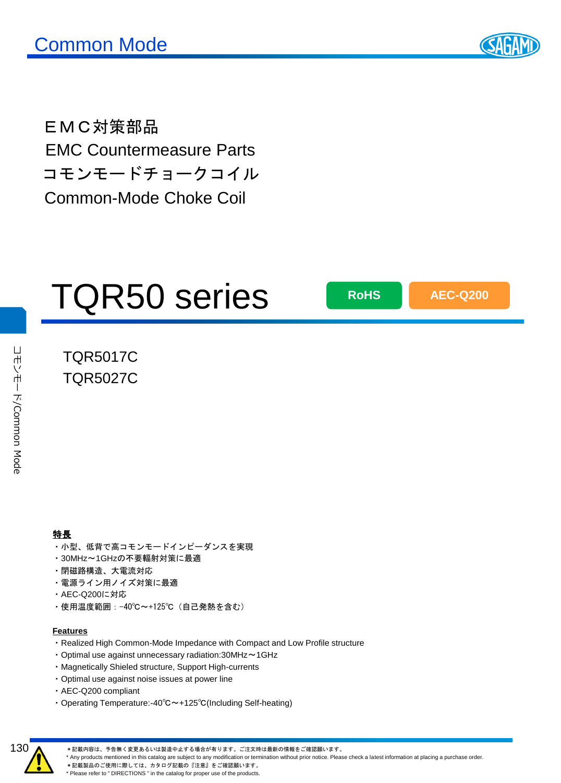

EMC対策部品 EMC Countermeasure Parts コモンモードチョークコイル Common-Mode Choke Coil

# TQR50 series

**RoHS AEC-Q200**

### TQR5017C TQR5027C

#### 特長

- ・小型、低背で高コモンモードインピーダンスを実現
- ・30MHz~1GHzの不要輻射対策に最適
- ・閉磁路構造、大電流対応
- ・電源ライン用ノイズ対策に最適
- ・AEC-Q200に対応
- ・使用温度範囲:-40℃~+125℃(自己発熱を含む)

#### **Features**

- ・Realized High Common-Mode Impedance with Compact and Low Profile structure
- ・Optimal use against unnecessary radiation:30MHz~1GHz
- ・Magnetically Shieled structure, Support High-currents
- ・Optimal use against noise issues at power line
- ・AEC-Q200 compliant
- ・Operating Temperature:-40℃~+125℃(Including Self-heating)



\*記載内容は、予告無く変更あるいは製造中止する場合が有ります。ご注文時は最新の情報をご確認願います。

\* Any products mentioned in this catalog are subject to any modification or termination without prior notice. Please check a latest information at placing a purchase order.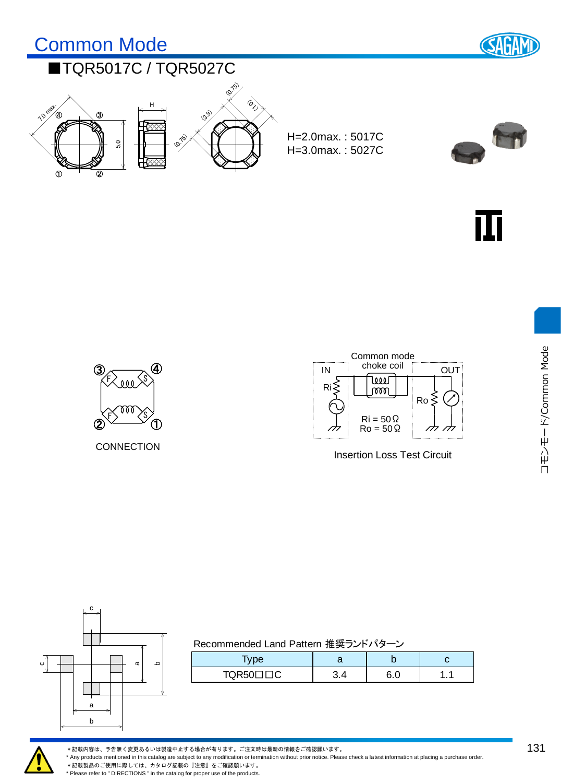



CONNECTION



Insertion Loss Test Circuit



| Recommended Land Pattern 推奨ランドパターン |  |
|------------------------------------|--|
|------------------------------------|--|

| vpe    | a | N |   |
|--------|---|---|---|
| TQR50L |   |   | . |



\*記載内容は、予告無く変更あるいは製造中止する場合が有ります。ご注文時は最新の情報をご確認願います。

\* Any products mentioned in this catalog are subject to any modification or termination without prior notice. Please check a latest information at placing a purchase order.

\*記載製品のご使用に際しては、カタログ記載の『注意』<br>※記載製品のご使用に際しては、カタログ記載の『注意』をご確認願います。 \* Please refer to " DIRECTIONS " in the catalog for proper use of the products.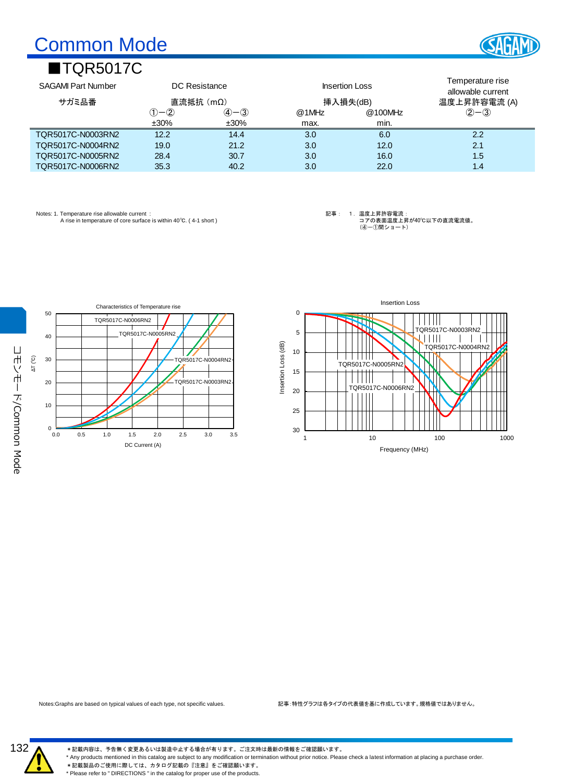# Common Mode

## ■TQR5017C



| Common Mode                                |         |             |                       |          |                                       |  |  |
|--------------------------------------------|---------|-------------|-----------------------|----------|---------------------------------------|--|--|
| ■TQR5017C                                  |         |             |                       |          |                                       |  |  |
| <b>SAGAMI Part Number</b><br>DC Resistance |         |             | <b>Insertion Loss</b> |          | Temperature rise<br>allowable current |  |  |
| サガミ品番                                      |         | 直流抵抗 (mΩ)   |                       | 挿入損失(dB) | 温度上昇許容電流 (A)                          |  |  |
|                                            | (1)-Q   | $(4) - (3)$ | $@1$ MHz              | @100MHz  | $2 - 3$                               |  |  |
|                                            | $±30\%$ | $±30\%$     | max.                  | min.     |                                       |  |  |
| TQR5017C-N0003RN2                          | 12.2    | 14.4        | 3.0                   | 6.0      | 2.2                                   |  |  |
| TQR5017C-N0004RN2                          | 19.0    | 21.2        | 3.0                   | 12.0     | 2.1                                   |  |  |
| TQR5017C-N0005RN2                          | 28.4    | 30.7        | 3.0                   | 16.0     | 1.5                                   |  |  |
| TQR5017C-N0006RN2                          | 35.3    | 40.2        | 3.0                   | 22.0     | 1.4                                   |  |  |

Notes: 1. Temperature rise allowable current : A rise in temperature of core surface is within 40℃. ( 4-1 short )

記事: 1.温度上昇許容電流: コアの表面温度上昇が40℃以下の直流電流値。 (④-①間ショート)





Notes:Graphs are based on typical values of each type, not specific values. 記事:特性グラフは各タイプの代表値を基に作成しています。規格値ではありません。



\*記載内容は、予告無く変更あるいは製造中止する場合が有ります。ご注文時は最新の情報をご確認願います。

\* Any products mentioned in this catalog are subject to any modification or termination without prior notice. Please check a latest information at placing a purchase order.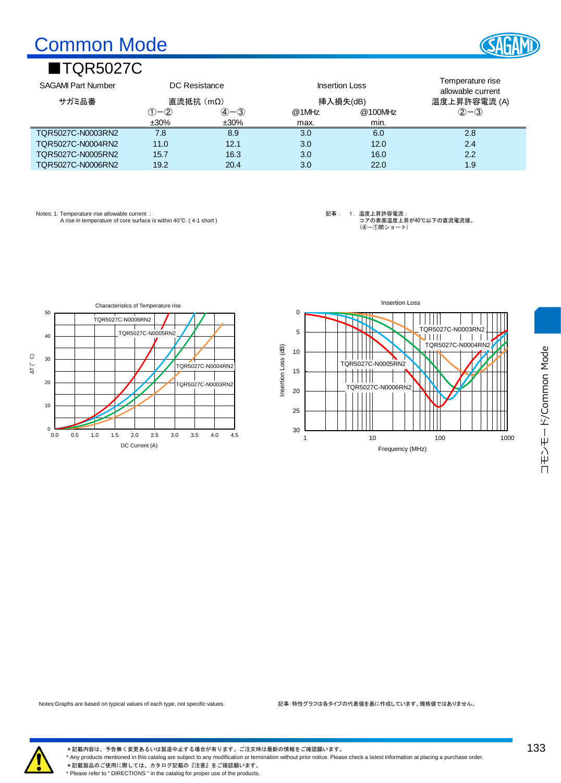# Common Mode

## ■TQR5027C

| Common Mode                                |             |                               |                       |         |                                       |  |
|--------------------------------------------|-------------|-------------------------------|-----------------------|---------|---------------------------------------|--|
| ■TQR5027C                                  |             |                               |                       |         |                                       |  |
| <b>SAGAMI Part Number</b><br>DC Resistance |             |                               | <b>Insertion Loss</b> |         | Temperature rise<br>allowable current |  |
| サガミ品番                                      |             | 直流抵抗(mΩ)                      | 挿入損失(dB)              |         | 温度上昇許容電流 (A)                          |  |
|                                            | $(1) - (2)$ | $\mathcal{A}$ – $\mathcal{B}$ | @1MHz                 | @100MHz | $(2 - 3)$                             |  |
|                                            | $±30\%$     | $±30\%$                       | max.                  | min.    |                                       |  |
| TQR5027C-N0003RN2                          | 7.8         | 8.9                           | 3.0                   | 6.0     | 2.8                                   |  |
| TQR5027C-N0004RN2                          | 11.0        | 12.1                          | 3.0                   | 12.0    | 2.4                                   |  |
| TQR5027C-N0005RN2                          | 15.7        | 16.3                          | 3.0                   | 16.0    | 2.2                                   |  |
| TQR5027C-N0006RN2                          | 19.2        | 20.4                          | 3.0                   | 22.0    | 1.9                                   |  |

Notes: 1. Temperature rise allowable current : A rise in temperature of core surface is within 40℃. ( 4-1 short ) 記事: 1.温度上昇許容電流: コアの表面温度上昇が40℃以下の直流電流値。 (④-①間ショート)







\*記載内容は、予告無く変更あるいは製造中止する場合が有ります。ご注文時は最新の情報をご確認願います。 \* Any products mentioned in this catalog are subject to any modification or termination without prior notice. Please check a latest information at placing a purchase order. \*記載製品のご使用に際しては、カタログ記載の『注意』をご確認願います。 \* Please refer to " DIRECTIONS " in the catalog for proper use of the products.

133

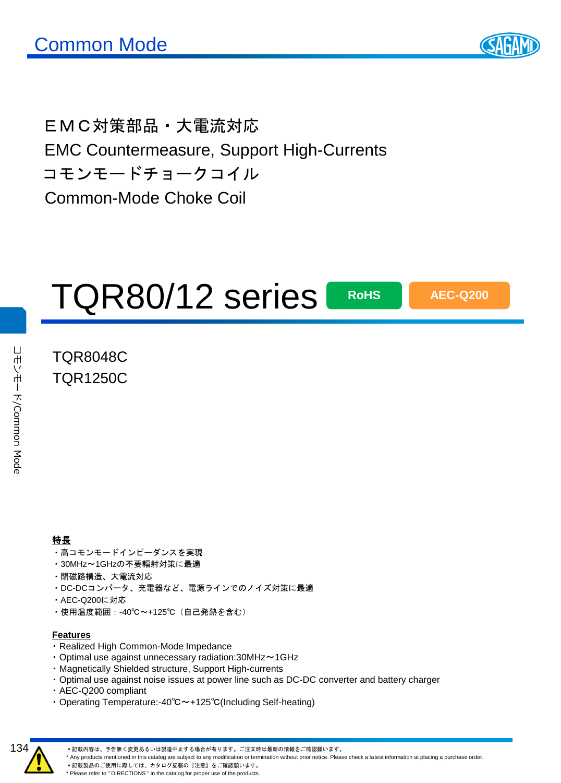

EMC対策部品・大電流対応 EMC Countermeasure, Support High-Currents コモンモードチョークコイル Common-Mode Choke Coil

# TQR80/12 series

**RoHS AEC-Q200**

### TQR8048C TQR1250C

コカントード

/Common Mode

コホントトド/Common Mode

#### 特長

- ・高コモンモードインピーダンスを実現
- ・30MHz~1GHzの不要輻射対策に最適
- ・閉磁路構造、大電流対応
- ・DC-DCコンバータ、充電器など、電源ラインでのノイズ対策に最適
- ・AEC-Q200に対応
- ・使用温度範囲:-40℃~+125℃(自己発熱を含む)

#### **Features**

- ・ Realized High Common-Mode Impedance
- ・ Optimal use against unnecessary radiation:30MHz~1GHz
- ・ Magnetically Shielded structure, Support High-currents
- ・ Optimal use against noise issues at power line such as DC-DC converter and battery charger
- ・ AEC-Q200 compliant
- ・ Operating Temperature:-40℃~+125℃(Including Self-heating)



\*記載内容は、予告無く変更あるいは製造中止する場合が有ります。ご注文時は最新の情報をご確認願います。

\* Any products mentioned in this catalog are subject to any modification or termination without prior notice. Please check a latest information at placing a purchase order.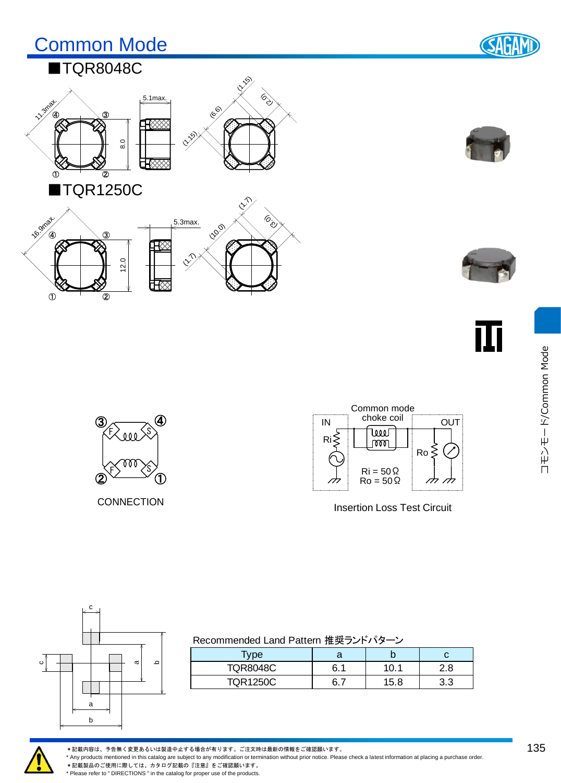## Common Mode



## ■TQR8048C



 $\overline{\circledcirc}$ 

 $\Phi$ 







ПĪ



CONNECTION



Insertion Loss Test Circuit



| Recommended Land Pattern 推奨ランドパターン |  |  |
|------------------------------------|--|--|
|                                    |  |  |

| $\tau_\text{ype}$ |     |      | U    |
|-------------------|-----|------|------|
| <b>TQR8048C</b>   | 6.1 | 10.1 | 2.8⊧ |
| TQR1250C          |     | 15.8 | 3.3  |



\*記載内容は、予告無く変更あるいは製造中止する場合が有ります。ご注文時は最新の情報をご確認願います。

\* Any products mentioned in this catalog are subject to any modification or termination without prior notice. Please check a latest information at placing a purchase order.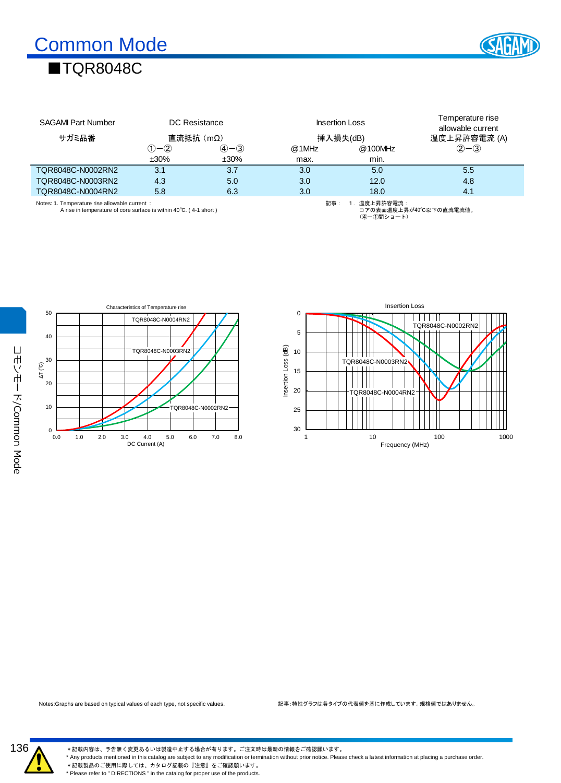## ■TQR8048C



|                                                                                                                     |             |             |          |                             | Temperature rise       |  |  |
|---------------------------------------------------------------------------------------------------------------------|-------------|-------------|----------|-----------------------------|------------------------|--|--|
| DC Resistance<br><b>SAGAMI Part Number</b>                                                                          |             |             |          | <b>Insertion Loss</b>       | allowable current      |  |  |
| サガミ品番                                                                                                               | 直流抵抗(mΩ)    |             | 挿入損失(dB) |                             | 温度上昇許容電流 (A)           |  |  |
|                                                                                                                     | $(1) - (2)$ | $(4) - (3)$ | @1MHz    | @100MHz                     | $(2 - 3)$              |  |  |
|                                                                                                                     | $±30\%$     | $±30\%$     | max.     | min.                        |                        |  |  |
| TQR8048C-N0002RN2                                                                                                   | 3.1         | 3.7         | 3.0      | 5.0                         | 5.5                    |  |  |
| TOR8048C-N0003RN2                                                                                                   | 4.3         | 5.0         | 3.0      | 12.0                        | 4.8                    |  |  |
| TQR8048C-N0004RN2                                                                                                   | 5.8         | 6.3         | 3.0      | 18.0                        | 4.1                    |  |  |
| Notes: 1. Temperature rise allowable current :<br>A rise in temperature of core surface is within 40°C. (4-1 short) |             |             | 記事:      | 1. 温度上昇許容電流:<br>(4)-①間ショート) | コアの表面温度上昇が40℃以下の直流電流値。 |  |  |





Notes:Graphs are based on typical values of each type, not specific values. 記事:特性グラフは各タイプの代表値を基に作成しています。規格値ではありません。



\*記載内容は、予告無く変更あるいは製造中止する場合が有ります。ご注文時は最新の情報をご確認願います。

\* Any products mentioned in this catalog are subject to any modification or termination without prior notice. Please check a latest information at placing a purchase order.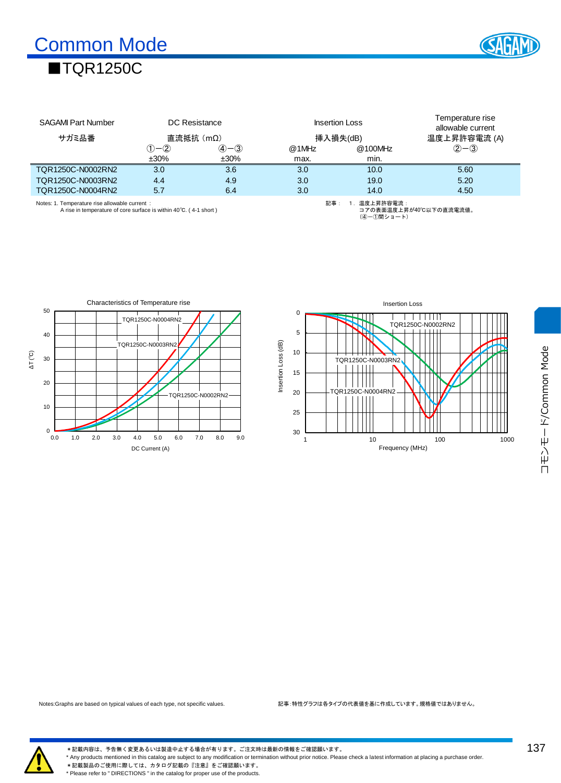

| <b>SAGAMI Part Number</b><br>DC Resistance                                                                         |             |             | <b>Insertion Loss</b> | Temperature rise<br>allowable current |                        |  |
|--------------------------------------------------------------------------------------------------------------------|-------------|-------------|-----------------------|---------------------------------------|------------------------|--|
| サガミ品番                                                                                                              |             | 直流抵抗(mΩ)    | 挿入損失(dB)              |                                       | 温度上昇許容電流 (A)           |  |
|                                                                                                                    | $(1) - (2)$ | $(4) - (3)$ | @1MHz                 | @100MHz                               | $2 - 3$                |  |
|                                                                                                                    | $±30\%$     | ±30%        | max.                  | min.                                  |                        |  |
| TQR1250C-N0002RN2                                                                                                  | 3.0         | 3.6         | 3.0                   | 10.0                                  | 5.60                   |  |
| TQR1250C-N0003RN2                                                                                                  | 4.4         | 4.9         | 3.0                   | 19.0                                  | 5.20                   |  |
| TOR1250C-N0004RN2                                                                                                  | 5.7         | 6.4         | 3.0                   | 14.0                                  | 4.50                   |  |
| Notes: 1. Temperature rise allowable current:<br>A rise in temperature of core surface is within 40°C. (4-1 short) |             |             | 記事:                   | 温度上昇許容雷流:<br>(4)-①間ショート)              | コアの表面温度上昇が40℃以下の直流電流値。 |  |





コモンモード/Common Mode コモンモード/Common Mode



\*記載内容は、予告無く変更あるいは製造中止する場合が有ります。ご注文時は最新の情報をご確認願います。 \* Any products mentioned in this catalog are subject to any modification or termination without prior notice. Please check a latest information at placing a purchase order. \*記載製品のご使用に際しては、カタログ記載の『注意』をご確認願います。 \* Please refer to " DIRECTIONS " in the catalog for proper use of the products.

137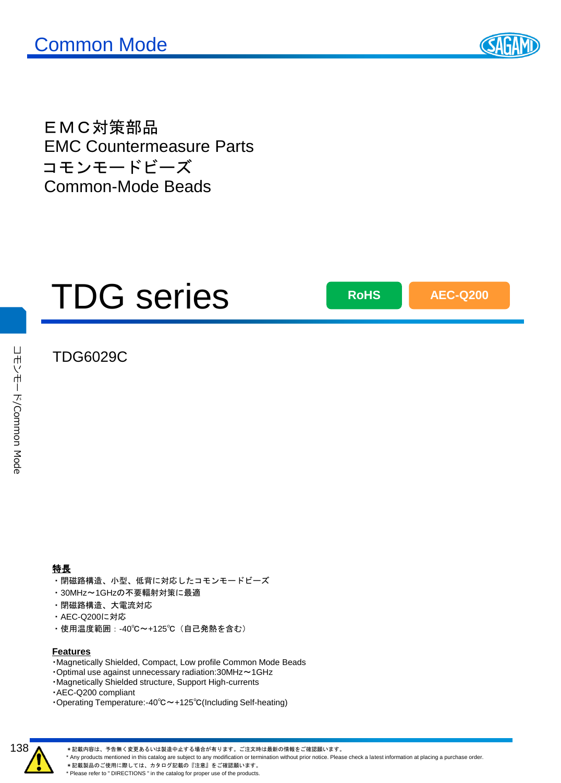

EMC対策部品 EMC Countermeasure Parts コモンモードビーズ Common-Mode Beads

# TDG series

**RoHS AEC-Q200**

### TDG6029C

コカントード

/Common Mode

コモンモード/Common Mode

- ・閉磁路構造、小型、低背に対応したコモンモードビーズ
- ・30MHz~1GHzの不要輻射対策に最適
- ・閉磁路構造、大電流対応
- ・AEC-Q200に対応
- ・使用温度範囲:-40℃~+125℃(自己発熱を含む)

#### **Features**

- ・Magnetically Shielded, Compact, Low profile Common Mode Beads
- ・Optimal use against unnecessary radiation:30MHz~1GHz
- ・Magnetically Shielded structure, Support High-currents
- ・AEC-Q200 compliant
- ・Operating Temperature:-40℃~+125℃(Including Self-heating)



\*記載内容は、予告無く変更あるいは製造中止する場合が有ります。ご注文時は最新の情報をご確認願います。

\* Any products mentioned in this catalog are subject to any modification or termination without prior notice. Please check a latest information at placing a purchase order.